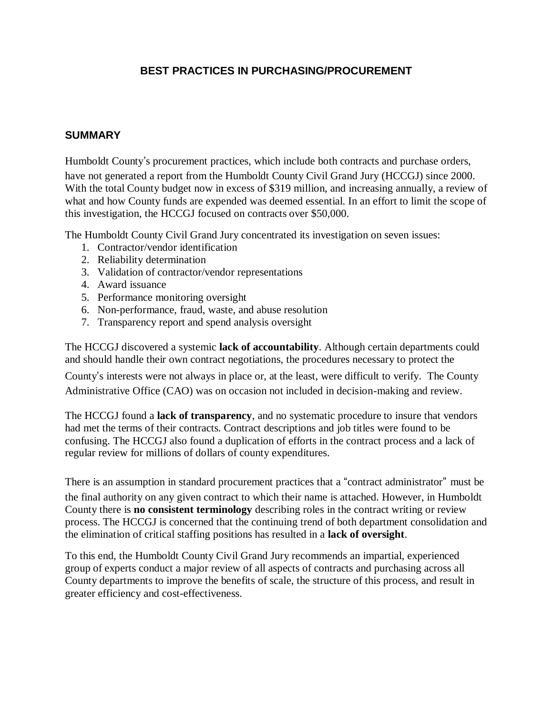# **BEST PRACTICES IN PURCHASING/PROCUREMENT**

### **SUMMARY**

Humboldt County's procurement practices, which include both contracts and purchase orders, have not generated a report from the Humboldt County Civil Grand Jury (HCCGJ) since 2000. With the total County budget now in excess of \$319 million, and increasing annually, a review of what and how County funds are expended was deemed essential. In an effort to limit the scope of this investigation, the HCCGJ focused on contracts over \$50,000.

The Humboldt County Civil Grand Jury concentrated its investigation on seven issues:

- 1. Contractor/vendor identification
- 2. Reliability determination
- 3. Validation of contractor/vendor representations
- 4. Award issuance
- 5. Performance monitoring oversight
- 6. Non-performance, fraud, waste, and abuse resolution
- 7. Transparency report and spend analysis oversight

The HCCGJ discovered a systemic **lack of accountability**. Although certain departments could and should handle their own contract negotiations, the procedures necessary to protect the

County's interests were not always in place or, at the least, were difficult to verify. The County Administrative Office (CAO) was on occasion not included in decision-making and review.

The HCCGJ found a **lack of transparency**, and no systematic procedure to insure that vendors had met the terms of their contracts. Contract descriptions and job titles were found to be confusing. The HCCGJ also found a duplication of efforts in the contract process and a lack of regular review for millions of dollars of county expenditures.

There is an assumption in standard procurement practices that a "contract administrator" must be the final authority on any given contract to which their name is attached. However, in Humboldt County there is **no consistent terminology** describing roles in the contract writing or review process. The HCCGJ is concerned that the continuing trend of both department consolidation and the elimination of critical staffing positions has resulted in a **lack of oversight**.

To this end, the Humboldt County Civil Grand Jury recommends an impartial, experienced group of experts conduct a major review of all aspects of contracts and purchasing across all County departments to improve the benefits of scale, the structure of this process, and result in greater efficiency and cost-effectiveness.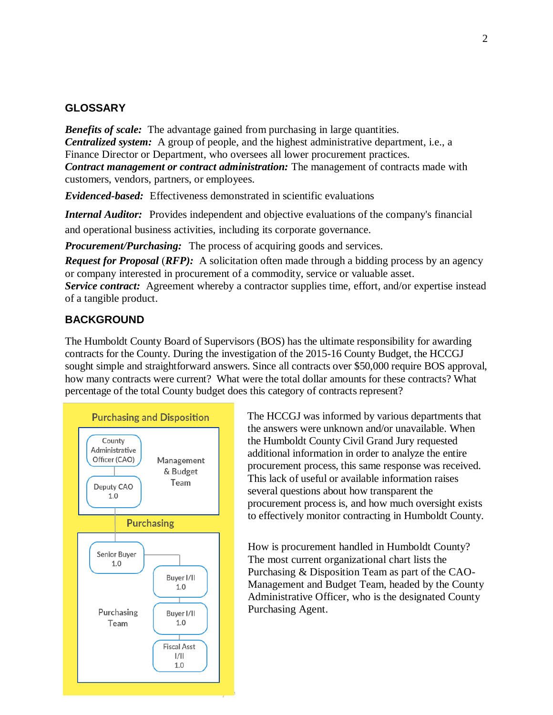#### **GLOSSARY**

*Benefits of scale:* The advantage gained from purchasing in large quantities. *Centralized system:* A group of people, and the highest administrative department, i.e., a Finance Director or Department, who oversees all lower procurement practices. *Contract management or contract administration:* The management of contracts made with customers, vendors, partners, or employees.

*Evidenced-based:* Effectiveness demonstrated in scientific evaluations

*Internal Auditor:* Provides independent and objective evaluations of the company's financial and operational business activities, including its corporate governance.

*Procurement/Purchasing:* The process of acquiring goods and services.

*Request for Proposal (RFP):* A solicitation often made through a bidding process by an agency or company interested in procurement of a commodity, service or valuable asset. *Service contract:* [Agreement](http://h) whereby a [contractor](http://www.businessdictionary.com/definition/contractor.html) [supplies](http://www.businessdictionary.com/definition/contractor.html) time, effort, and/or [expertise](http://www.businessdictionary.com/definition/expertise.html) instead of a [tangible product.](http://www.businessdictionary.com/definition/tangible-product.html)

#### **BACKGROUND**

The Humboldt County Board of Supervisors (BOS) has the ultimate responsibility for awarding contracts for the County. During the investigation of the 2015-16 County Budget, the HCCGJ sought simple and straightforward answers. Since all contracts over \$50,000 require BOS approval, how many contracts were current? What were the total dollar amounts for these contracts? What percentage of the total County budget does this category of contracts represent?



The HCCGJ was informed by various departments that the answers were unknown and/or unavailable. When the Humboldt County Civil Grand Jury requested additional information in order to analyze the entire procurement process, this same response was received. This lack of useful or available information raises several questions about how transparent the procurement process is, and how much oversight exists to effectively monitor contracting in Humboldt County.

How is procurement handled in Humboldt County? The most current organizational chart lists the Purchasing & Disposition Team as part of the CAO-Management and Budget Team, headed by the County Administrative Officer, who is the designated County Purchasing Agent.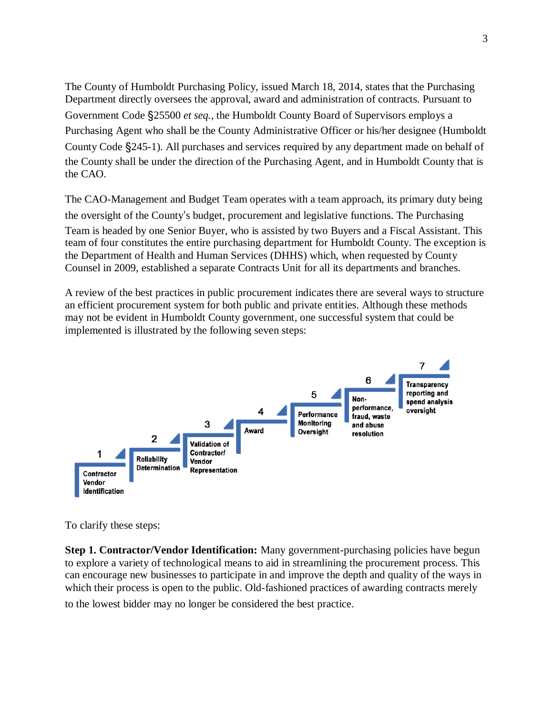The County of Humboldt Purchasing Policy, issued March 18, 2014, states that the Purchasing Department directly oversees the approval, award and administration of contracts. Pursuant to Government Code §25500 *et seq.,* the Humboldt County Board of Supervisors employs a Purchasing Agent who shall be the County Administrative Officer or his/her designee (Humboldt County Code §245-1). All purchases and services required by any department made on behalf of the County shall be under the direction of the Purchasing Agent, and in Humboldt County that is the CAO.

The CAO-Management and Budget Team operates with a team approach, its primary duty being the oversight of the County's budget, procurement and legislative functions. The Purchasing Team is headed by one Senior Buyer, who is assisted by two Buyers and a Fiscal Assistant. This team of four constitutes the entire purchasing department for Humboldt County. The exception is the Department of Health and Human Services (DHHS) which, when requested by County Counsel in 2009, established a separate Contracts Unit for all its departments and branches.

A review of the best practices in public procurement indicates there are several ways to structure an efficient procurement system for both public and private entities. Although these methods may not be evident in Humboldt County government, one successful system that could be implemented is illustrated by the following seven steps:



To clarify these steps:

**Step 1. Contractor/Vendor Identification:** Many government-purchasing policies have begun to explore a variety of technological means to aid in streamlining the procurement process. This can encourage new businesses to participate in and improve the depth and quality of the ways in which their process is open to the public. Old-fashioned practices of awarding contracts merely to the lowest bidder may no longer be considered the best practice.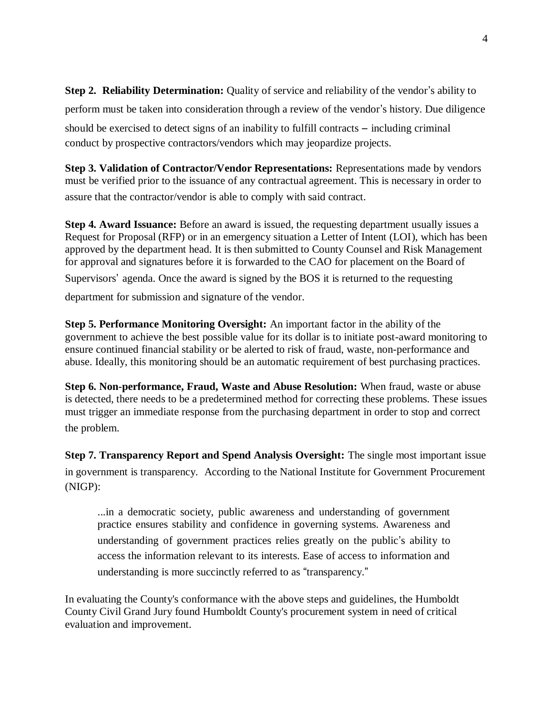**Step 2. Reliability Determination:** Quality of service and reliability of the vendor's ability to perform must be taken into consideration through a review of the vendor's history. Due diligence should be exercised to detect signs of an inability to fulfill contracts – including criminal conduct by prospective contractors/vendors which may jeopardize projects.

**Step 3. Validation of Contractor/Vendor Representations:** Representations made by vendors must be verified prior to the issuance of any contractual agreement. This is necessary in order to assure that the contractor/vendor is able to comply with said contract.

**Step 4. Award Issuance:** Before an award is issued, the requesting department usually issues a Request for Proposal (RFP) or in an emergency situation a Letter of Intent (LOI), which has been approved by the department head. It is then submitted to County Counsel and Risk Management for approval and signatures before it is forwarded to the CAO for placement on the Board of Supervisors' agenda. Once the award is signed by the BOS it is returned to the requesting

department for submission and signature of the vendor.

**Step 5. Performance Monitoring Oversight:** An important factor in the ability of the government to achieve the best possible value for its dollar is to initiate post-award monitoring to ensure continued financial stability or be alerted to risk of fraud, waste, non-performance and abuse. Ideally, this monitoring should be an automatic requirement of best purchasing practices.

**Step 6. Non-performance, Fraud, Waste and Abuse Resolution:** When fraud, waste or abuse is detected, there needs to be a predetermined method for correcting these problems. These issues must trigger an immediate response from the purchasing department in order to stop and correct the problem.

**Step 7. Transparency Report and Spend Analysis Oversight:** The single most important issue in government is transparency. According to the National Institute for Government Procurement (NIGP):

...in a democratic society, public awareness and understanding of government practice ensures stability and confidence in governing systems. Awareness and understanding of government practices relies greatly on the public's ability to access the information relevant to its interests. Ease of access to information and understanding is more succinctly referred to as "transparency."

In evaluating the County's conformance with the above steps and guidelines, the Humboldt County Civil Grand Jury found Humboldt County's procurement system in need of critical evaluation and improvement.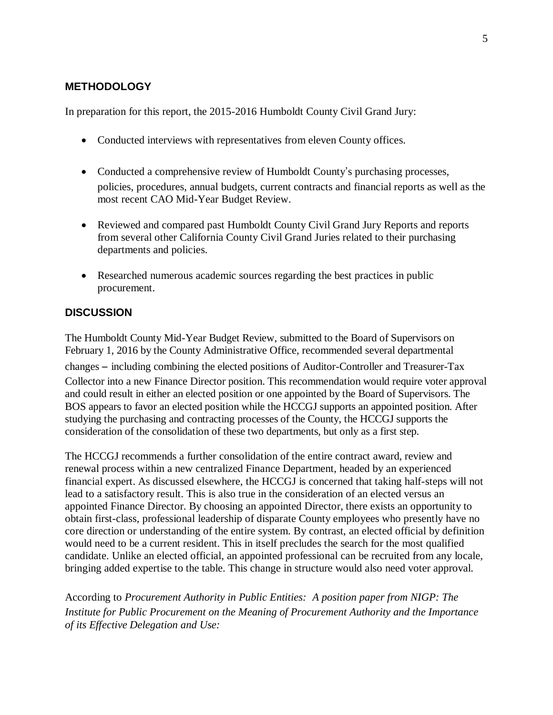# **METHODOLOGY**

In preparation for this report, the 2015-2016 Humboldt County Civil Grand Jury:

- Conducted interviews with representatives from eleven County offices.
- Conducted a comprehensive review of Humboldt County's purchasing processes, policies, procedures, annual budgets, current contracts and financial reports as well as the most recent CAO Mid-Year Budget Review.
- Reviewed and compared past Humboldt County Civil Grand Jury Reports and reports from several other California County Civil Grand Juries related to their purchasing departments and policies.
- Researched numerous academic sources regarding the best practices in public procurement.

## **DISCUSSION**

The Humboldt County Mid-Year Budget Review, submitted to the Board of Supervisors on February 1, 2016 by the County Administrative Office, recommended several departmental

changes – including combining the elected positions of Auditor-Controller and Treasurer-Tax Collector into a new Finance Director position. This recommendation would require voter approval and could result in either an elected position or one appointed by the Board of Supervisors. The BOS appears to favor an elected position while the HCCGJ supports an appointed position. After studying the purchasing and contracting processes of the County, the HCCGJ supports the consideration of the consolidation of these two departments, but only as a first step.

The HCCGJ recommends a further consolidation of the entire contract award, review and renewal process within a new centralized Finance Department, headed by an experienced financial expert. As discussed elsewhere, the HCCGJ is concerned that taking half-steps will not lead to a satisfactory result. This is also true in the consideration of an elected versus an appointed Finance Director. By choosing an appointed Director, there exists an opportunity to obtain first-class, professional leadership of disparate County employees who presently have no core direction or understanding of the entire system. By contrast, an elected official by definition would need to be a current resident. This in itself precludes the search for the most qualified candidate. Unlike an elected official, an appointed professional can be recruited from any locale, bringing added expertise to the table. This change in structure would also need voter approval.

According to *Procurement Authority in Public Entities: A position paper from NIGP: The Institute for Public Procurement on the Meaning of Procurement Authority and the Importance of its Effective Delegation and Use:*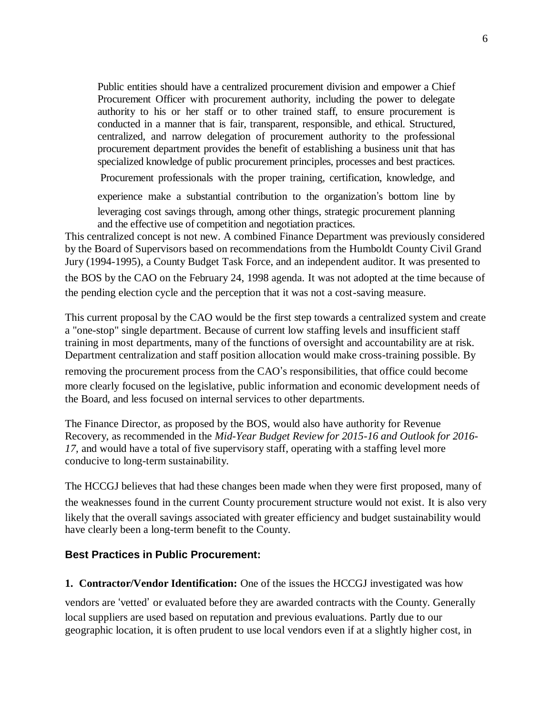Public entities should have a centralized procurement division and empower a Chief Procurement Officer with procurement authority, including the power to delegate authority to his or her staff or to other trained staff, to ensure procurement is conducted in a manner that is fair, transparent, responsible, and ethical. Structured, centralized, and narrow delegation of procurement authority to the professional procurement department provides the benefit of establishing a business unit that has specialized knowledge of public procurement principles, processes and best practices.

Procurement professionals with the proper training, certification, knowledge, and

experience make a substantial contribution to the organization's bottom line by

leveraging cost savings through, among other things, strategic procurement planning and the effective use of competition and negotiation practices.

This centralized concept is not new. A combined Finance Department was previously considered by the Board of Supervisors based on recommendations from the Humboldt County Civil Grand Jury (1994-1995), a County Budget Task Force, and an independent auditor. It was presented to the BOS by the CAO on the February 24, 1998 agenda. It was not adopted at the time because of

the pending election cycle and the perception that it was not a cost-saving measure.

This current proposal by the CAO would be the first step towards a centralized system and create a "one-stop" single department. Because of current low staffing levels and insufficient staff training in most departments, many of the functions of oversight and accountability are at risk. Department centralization and staff position allocation would make cross-training possible. By

removing the procurement process from the CAO's responsibilities, that office could become more clearly focused on the legislative, public information and economic development needs of the Board, and less focused on internal services to other departments.

The Finance Director, as proposed by the BOS, would also have authority for Revenue Recovery, as recommended in the *Mid-Year Budget Review for 2015-16 and Outlook for 2016- 17,* and would have a total of five supervisory staff, operating with a staffing level more conducive to long-term sustainability.

The HCCGJ believes that had these changes been made when they were first proposed, many of the weaknesses found in the current County procurement structure would not exist. It is also very likely that the overall savings associated with greater efficiency and budget sustainability would have clearly been a long-term benefit to the County.

#### **Best Practices in Public Procurement:**

**1. Contractor/Vendor Identification:** One of the issues the HCCGJ investigated was how

vendors are 'vetted' or evaluated before they are awarded contracts with the County. Generally local suppliers are used based on reputation and previous evaluations. Partly due to our geographic location, it is often prudent to use local vendors even if at a slightly higher cost, in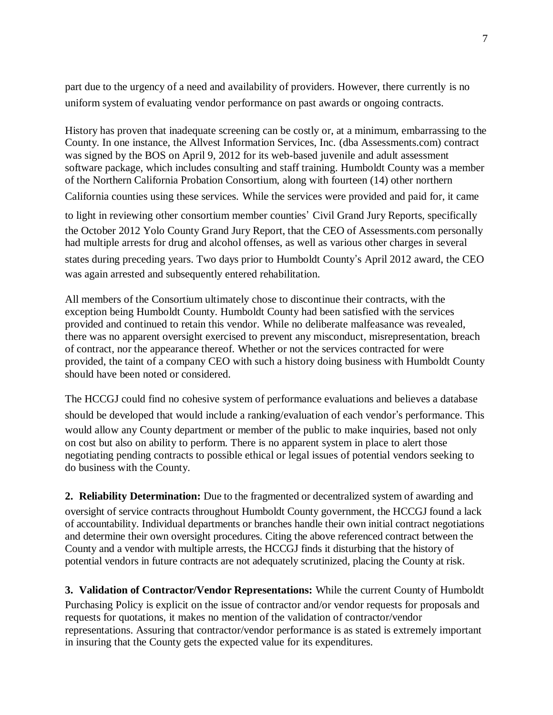part due to the urgency of a need and availability of providers. However, there currently is no uniform system of evaluating vendor performance on past awards or ongoing contracts.

History has proven that inadequate screening can be costly or, at a minimum, embarrassing to the County. In one instance, the Allvest Information Services, Inc. (dba Assessments.com) contract was signed by the BOS on April 9, 2012 for its web-based juvenile and adult assessment software package, which includes consulting and staff training. Humboldt County was a member of the Northern California Probation Consortium, along with fourteen (14) other northern California counties using these services. While the services were provided and paid for, it came

to light in reviewing other consortium member counties' Civil Grand Jury Reports, specifically the October 2012 Yolo County Grand Jury Report, that the CEO of Assessments.com personally had multiple arrests for drug and alcohol offenses, as well as various other charges in several states during preceding years. Two days prior to Humboldt County's April 2012 award, the CEO was again arrested and subsequently entered rehabilitation.

All members of the Consortium ultimately chose to discontinue their contracts, with the exception being Humboldt County. Humboldt County had been satisfied with the services provided and continued to retain this vendor. While no deliberate malfeasance was revealed, there was no apparent oversight exercised to prevent any misconduct, misrepresentation, breach of contract, nor the appearance thereof. Whether or not the services contracted for were provided, the taint of a company CEO with such a history doing business with Humboldt County should have been noted or considered.

The HCCGJ could find no cohesive system of performance evaluations and believes a database should be developed that would include a ranking/evaluation of each vendor's performance. This would allow any County department or member of the public to make inquiries, based not only on cost but also on ability to perform. There is no apparent system in place to alert those negotiating pending contracts to possible ethical or legal issues of potential vendors seeking to do business with the County.

**2. Reliability Determination:** Due to the fragmented or decentralized system of awarding and oversight of service contracts throughout Humboldt County government, the HCCGJ found a lack of accountability. Individual departments or branches handle their own initial contract negotiations and determine their own oversight procedures. Citing the above referenced contract between the County and a vendor with multiple arrests, the HCCGJ finds it disturbing that the history of potential vendors in future contracts are not adequately scrutinized, placing the County at risk.

**3. Validation of Contractor/Vendor Representations:** While the current County of Humboldt Purchasing Policy is explicit on the issue of contractor and/or vendor requests for proposals and requests for quotations, it makes no mention of the validation of contractor/vendor representations. Assuring that contractor/vendor performance is as stated is extremely important in insuring that the County gets the expected value for its expenditures.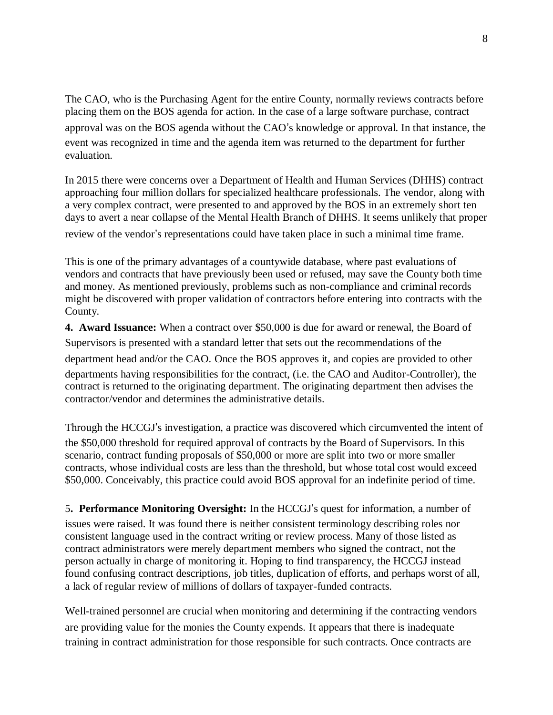The CAO, who is the Purchasing Agent for the entire County, normally reviews contracts before placing them on the BOS agenda for action. In the case of a large software purchase, contract approval was on the BOS agenda without the CAO's knowledge or approval. In that instance, the event was recognized in time and the agenda item was returned to the department for further evaluation.

In 2015 there were concerns over a Department of Health and Human Services (DHHS) contract approaching four million dollars for specialized healthcare professionals. The vendor, along with a very complex contract, were presented to and approved by the BOS in an extremely short ten days to avert a near collapse of the Mental Health Branch of DHHS. It seems unlikely that proper review of the vendor's representations could have taken place in such a minimal time frame.

This is one of the primary advantages of a countywide database, where past evaluations of vendors and contracts that have previously been used or refused, may save the County both time and money. As mentioned previously, problems such as non-compliance and criminal records might be discovered with proper validation of contractors before entering into contracts with the County.

**4. Award Issuance:** When a contract over \$50,000 is due for award or renewal, the Board of Supervisors is presented with a standard letter that sets out the recommendations of the

department head and/or the CAO. Once the BOS approves it, and copies are provided to other departments having responsibilities for the contract, (i.e. the CAO and Auditor-Controller), the contract is returned to the originating department. The originating department then advises the contractor/vendor and determines the administrative details.

Through the HCCGJ's investigation, a practice was discovered which circumvented the intent of the \$50,000 threshold for required approval of contracts by the Board of Supervisors. In this scenario, contract funding proposals of \$50,000 or more are split into two or more smaller contracts, whose individual costs are less than the threshold, but whose total cost would exceed \$50,000. Conceivably, this practice could avoid BOS approval for an indefinite period of time.

5**. Performance Monitoring Oversight:** In the HCCGJ's quest for information, a number of issues were raised. It was found there is neither consistent terminology describing roles nor consistent language used in the contract writing or review process. Many of those listed as contract administrators were merely department members who signed the contract, not the person actually in charge of monitoring it. Hoping to find transparency, the HCCGJ instead found confusing contract descriptions, job titles, duplication of efforts, and perhaps worst of all, a lack of regular review of millions of dollars of taxpayer-funded contracts.

Well-trained personnel are crucial when monitoring and determining if the contracting vendors are providing value for the monies the County expends. It appears that there is inadequate training in contract administration for those responsible for such contracts. Once contracts are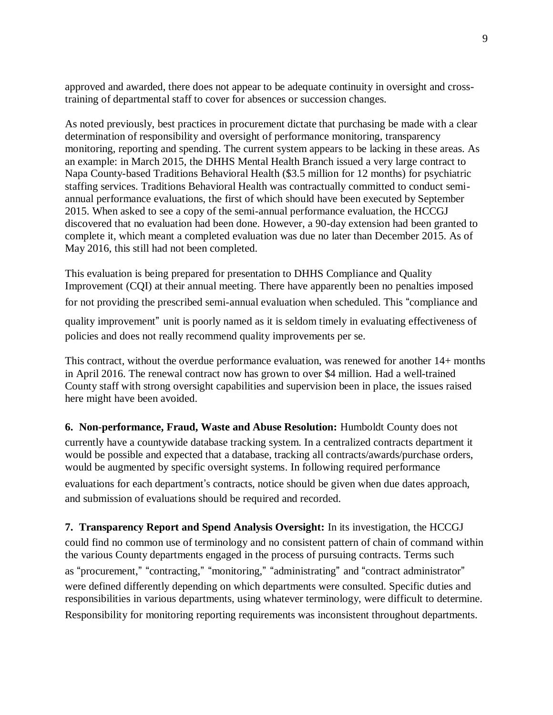approved and awarded, there does not appear to be adequate continuity in oversight and crosstraining of departmental staff to cover for absences or succession changes.

As noted previously, best practices in procurement dictate that purchasing be made with a clear determination of responsibility and oversight of performance monitoring, transparency monitoring, reporting and spending. The current system appears to be lacking in these areas. As an example: in March 2015, the DHHS Mental Health Branch issued a very large contract to Napa County-based Traditions Behavioral Health (\$3.5 million for 12 months) for psychiatric staffing services. Traditions Behavioral Health was contractually committed to conduct semiannual performance evaluations, the first of which should have been executed by September 2015. When asked to see a copy of the semi-annual performance evaluation, the HCCGJ discovered that no evaluation had been done. However, a 90-day extension had been granted to complete it, which meant a completed evaluation was due no later than December 2015. As of May 2016, this still had not been completed.

This evaluation is being prepared for presentation to DHHS Compliance and Quality Improvement (CQI) at their annual meeting. There have apparently been no penalties imposed for not providing the prescribed semi-annual evaluation when scheduled. This "compliance and quality improvement" unit is poorly named as it is seldom timely in evaluating effectiveness of policies and does not really recommend quality improvements per se.

This contract, without the overdue performance evaluation, was renewed for another 14+ months in April 2016. The renewal contract now has grown to over \$4 million. Had a well-trained County staff with strong oversight capabilities and supervision been in place, the issues raised here might have been avoided.

**6. Non-performance, Fraud, Waste and Abuse Resolution:** Humboldt County does not currently have a countywide database tracking system. In a centralized contracts department it would be possible and expected that a database, tracking all contracts/awards/purchase orders, would be augmented by specific oversight systems. In following required performance evaluations for each department's contracts, notice should be given when due dates approach, and submission of evaluations should be required and recorded.

**7. Transparency Report and Spend Analysis Oversight:** In its investigation, the HCCGJ could find no common use of terminology and no consistent pattern of chain of command within the various County departments engaged in the process of pursuing contracts. Terms such as "procurement," "contracting," "monitoring," "administrating" and "contract administrator" were defined differently depending on which departments were consulted. Specific duties and responsibilities in various departments, using whatever terminology, were difficult to determine. Responsibility for monitoring reporting requirements was inconsistent throughout departments.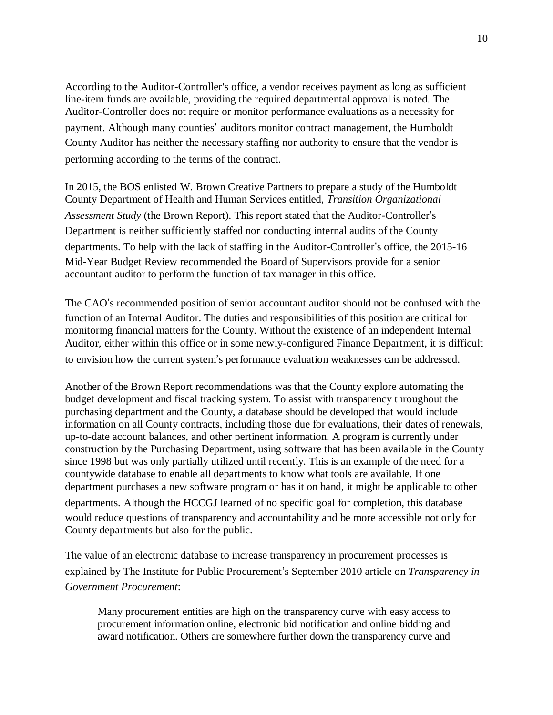According to the Auditor-Controller's office, a vendor receives payment as long as sufficient line-item funds are available, providing the required departmental approval is noted. The Auditor-Controller does not require or monitor performance evaluations as a necessity for payment. Although many counties' auditors monitor contract management, the Humboldt County Auditor has neither the necessary staffing nor authority to ensure that the vendor is performing according to the terms of the contract.

In 2015, the BOS enlisted W. Brown Creative Partners to prepare a study of the Humboldt County Department of Health and Human Services entitled, *Transition Organizational Assessment Study* (the Brown Report)*.* This report stated that the Auditor-Controller's Department is neither sufficiently staffed nor conducting internal audits of the County departments. To help with the lack of staffing in the Auditor-Controller's office, the 2015-16 Mid-Year Budget Review recommended the Board of Supervisors provide for a senior accountant auditor to perform the function of tax manager in this office.

The CAO's recommended position of senior accountant auditor should not be confused with the function of an Internal Auditor. The duties and responsibilities of this position are critical for monitoring financial matters for the County. Without the existence of an independent Internal Auditor, either within this office or in some newly-configured Finance Department, it is difficult to envision how the current system's performance evaluation weaknesses can be addressed.

Another of the Brown Report recommendations was that the County explore automating the budget development and fiscal tracking system. To assist with transparency throughout the purchasing department and the County, a database should be developed that would include information on all County contracts, including those due for evaluations, their dates of renewals, up-to-date account balances, and other pertinent information. A program is currently under construction by the Purchasing Department, using software that has been available in the County since 1998 but was only partially utilized until recently. This is an example of the need for a countywide database to enable all departments to know what tools are available. If one department purchases a new software program or has it on hand, it might be applicable to other departments. Although the HCCGJ learned of no specific goal for completion, this database would reduce questions of transparency and accountability and be more accessible not only for County departments but also for the public.

The value of an electronic database to increase transparency in procurement processes is explained by The Institute for Public Procurement's September 2010 article on *Transparency in Government Procurement*:

Many procurement entities are high on the transparency curve with easy access to procurement information online, electronic bid notification and online bidding and award notification. Others are somewhere further down the transparency curve and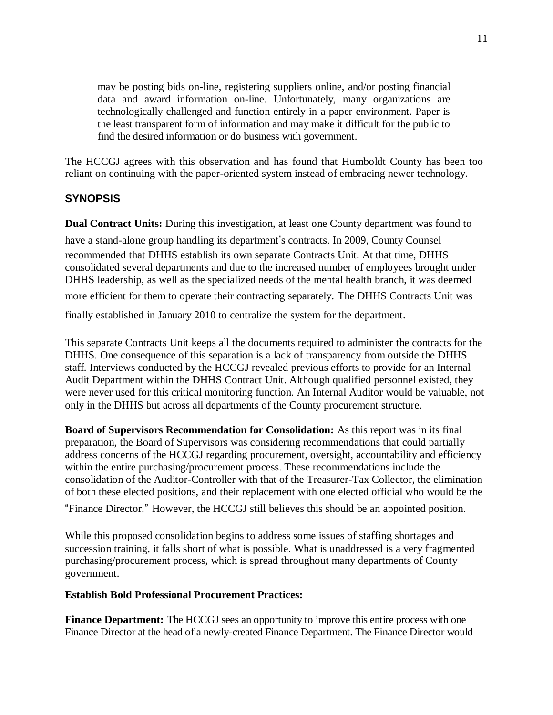may be posting bids on-line, registering suppliers online, and/or posting financial data and award information on-line. Unfortunately, many organizations are technologically challenged and function entirely in a paper environment. Paper is the least transparent form of information and may make it difficult for the public to find the desired information or do business with government.

The HCCGJ agrees with this observation and has found that Humboldt County has been too reliant on continuing with the paper-oriented system instead of embracing newer technology.

#### **SYNOPSIS**

**Dual Contract Units:** During this investigation, at least one County department was found to

have a stand-alone group handling its department's contracts. In 2009, County Counsel recommended that DHHS establish its own separate Contracts Unit. At that time, DHHS consolidated several departments and due to the increased number of employees brought under DHHS leadership, as well as the specialized needs of the mental health branch, it was deemed

more efficient for them to operate their contracting separately. The DHHS Contracts Unit was

finally established in January 2010 to centralize the system for the department.

This separate Contracts Unit keeps all the documents required to administer the contracts for the DHHS. One consequence of this separation is a lack of transparency from outside the DHHS staff. Interviews conducted by the HCCGJ revealed previous efforts to provide for an Internal Audit Department within the DHHS Contract Unit. Although qualified personnel existed, they were never used for this critical monitoring function. An Internal Auditor would be valuable, not only in the DHHS but across all departments of the County procurement structure.

**Board of Supervisors Recommendation for Consolidation:** As this report was in its final preparation, the Board of Supervisors was considering recommendations that could partially address concerns of the HCCGJ regarding procurement, oversight, accountability and efficiency within the entire purchasing/procurement process. These recommendations include the consolidation of the Auditor-Controller with that of the Treasurer-Tax Collector, the elimination of both these elected positions, and their replacement with one elected official who would be the

"Finance Director." However, the HCCGJ still believes this should be an appointed position.

While this proposed consolidation begins to address some issues of staffing shortages and succession training, it falls short of what is possible. What is unaddressed is a very fragmented purchasing/procurement process, which is spread throughout many departments of County government.

#### **Establish Bold Professional Procurement Practices:**

**Finance Department:** The HCCGJ sees an opportunity to improve this entire process with one Finance Director at the head of a newly-created Finance Department. The Finance Director would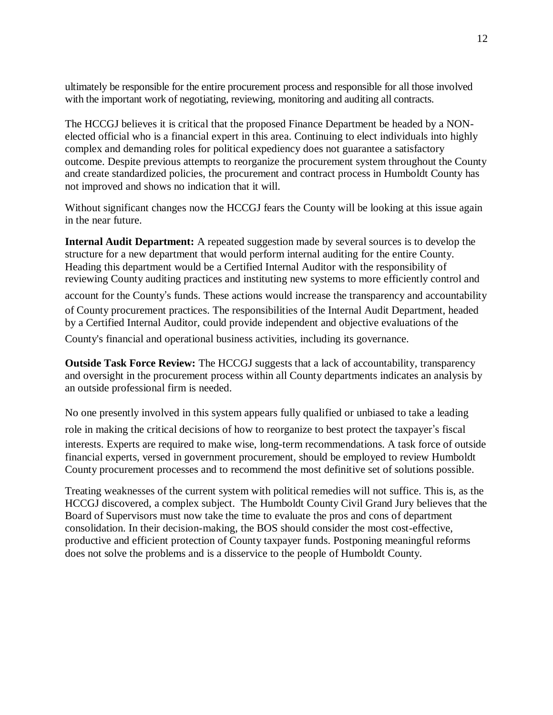ultimately be responsible for the entire procurement process and responsible for all those involved with the important work of negotiating, reviewing, monitoring and auditing all contracts.

The HCCGJ believes it is critical that the proposed Finance Department be headed by a NONelected official who is a financial expert in this area. Continuing to elect individuals into highly complex and demanding roles for political expediency does not guarantee a satisfactory outcome. Despite previous attempts to reorganize the procurement system throughout the County and create standardized policies, the procurement and contract process in Humboldt County has not improved and shows no indication that it will.

Without significant changes now the HCCGJ fears the County will be looking at this issue again in the near future.

**Internal Audit Department:** A repeated suggestion made by several sources is to develop the structure for a new department that would perform internal auditing for the entire County. Heading this department would be a Certified Internal Auditor with the responsibility of reviewing County auditing practices and instituting new systems to more efficiently control and

account for the County's funds. These actions would increase the transparency and accountability of County procurement practices. The responsibilities of the Internal Audit Department, headed by a Certified Internal Auditor, could provide independent and objective evaluations of the

County's financial and operational business activities, including its governance.

**Outside Task Force Review:** The HCCGJ suggests that a lack of accountability, transparency and oversight in the procurement process within all County departments indicates an analysis by an outside professional firm is needed.

No one presently involved in this system appears fully qualified or unbiased to take a leading

role in making the critical decisions of how to reorganize to best protect the taxpayer's fiscal interests. Experts are required to make wise, long-term recommendations. A task force of outside financial experts, versed in government procurement, should be employed to review Humboldt County procurement processes and to recommend the most definitive set of solutions possible.

Treating weaknesses of the current system with political remedies will not suffice. This is, as the HCCGJ discovered, a complex subject. The Humboldt County Civil Grand Jury believes that the Board of Supervisors must now take the time to evaluate the pros and cons of department consolidation. In their decision-making, the BOS should consider the most cost-effective, productive and efficient protection of County taxpayer funds. Postponing meaningful reforms does not solve the problems and is a disservice to the people of Humboldt County.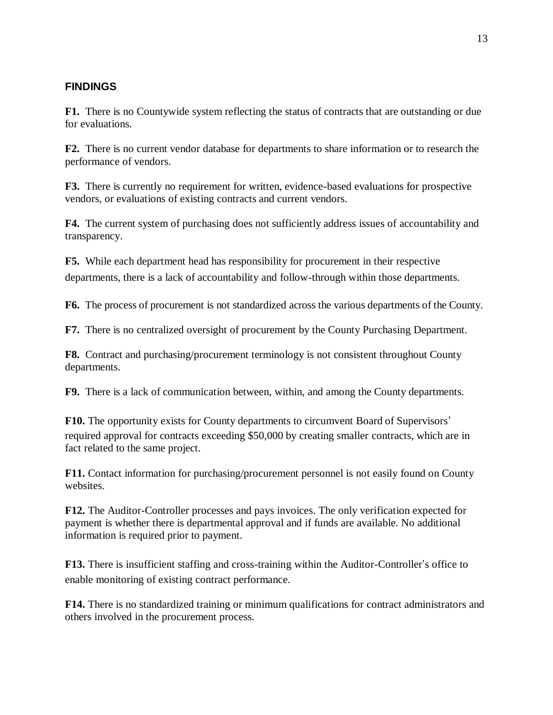### **FINDINGS**

**F1.** There is no Countywide system reflecting the status of contracts that are outstanding or due for evaluations.

**F2.** There is no current vendor database for departments to share information or to research the performance of vendors.

**F3.** There is currently no requirement for written, evidence-based evaluations for prospective vendors, or evaluations of existing contracts and current vendors.

**F4.** The current system of purchasing does not sufficiently address issues of accountability and transparency.

**F5.** While each department head has responsibility for procurement in their respective departments, there is a lack of accountability and follow-through within those departments.

**F6.** The process of procurement is not standardized across the various departments of the County.

**F7.** There is no centralized oversight of procurement by the County Purchasing Department.

**F8.** Contract and purchasing/procurement terminology is not consistent throughout County departments.

**F9.** There is a lack of communication between, within, and among the County departments.

**F10.** The opportunity exists for County departments to circumvent Board of Supervisors' required approval for contracts exceeding \$50,000 by creating smaller contracts, which are in fact related to the same project.

**F11.** Contact information for purchasing/procurement personnel is not easily found on County websites.

**F12.** The Auditor-Controller processes and pays invoices. The only verification expected for payment is whether there is departmental approval and if funds are available. No additional information is required prior to payment.

**F13.** There is insufficient staffing and cross-training within the Auditor-Controller's office to enable monitoring of existing contract performance.

**F14.** There is no standardized training or minimum qualifications for contract administrators and others involved in the procurement process.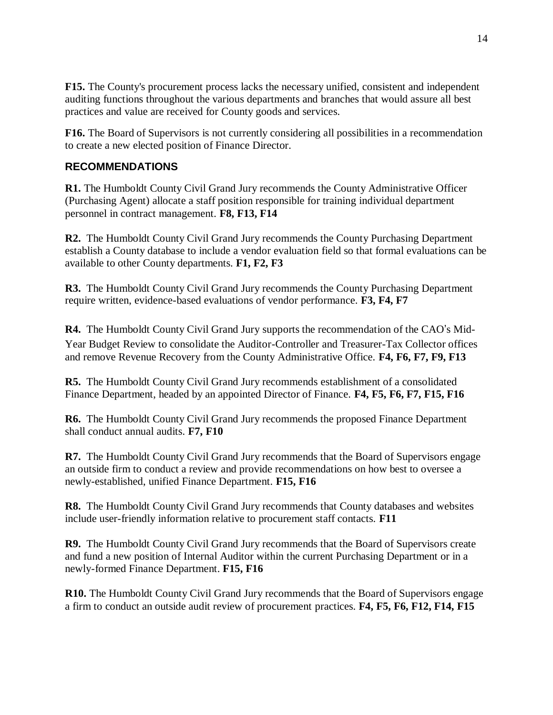**F15.** The County's procurement process lacks the necessary unified, consistent and independent auditing functions throughout the various departments and branches that would assure all best practices and value are received for County goods and services.

**F16.** The Board of Supervisors is not currently considering all possibilities in a recommendation to create a new elected position of Finance Director.

### **RECOMMENDATIONS**

**R1.** The Humboldt County Civil Grand Jury recommends the County Administrative Officer (Purchasing Agent) allocate a staff position responsible for training individual department personnel in contract management. **F8, F13, F14**

**R2.** The Humboldt County Civil Grand Jury recommends the County Purchasing Department establish a County database to include a vendor evaluation field so that formal evaluations can be available to other County departments. **F1, F2, F3**

**R3.** The Humboldt County Civil Grand Jury recommends the County Purchasing Department require written, evidence-based evaluations of vendor performance. **F3, F4, F7**

**R4.** The Humboldt County Civil Grand Jury supports the recommendation of the CAO's Mid-Year Budget Review to consolidate the Auditor-Controller and Treasurer-Tax Collector offices and remove Revenue Recovery from the County Administrative Office. **F4, F6, F7, F9, F13**

**R5.** The Humboldt County Civil Grand Jury recommends establishment of a consolidated Finance Department, headed by an appointed Director of Finance. **F4, F5, F6, F7, F15, F16**

**R6.** The Humboldt County Civil Grand Jury recommends the proposed Finance Department shall conduct annual audits. **F7, F10** 

**R7.** The Humboldt County Civil Grand Jury recommends that the Board of Supervisors engage an outside firm to conduct a review and provide recommendations on how best to oversee a newly-established, unified Finance Department. **F15, F16**

**R8.** The Humboldt County Civil Grand Jury recommends that County databases and websites include user-friendly information relative to procurement staff contacts. **F11**

**R9.** The Humboldt County Civil Grand Jury recommends that the Board of Supervisors create and fund a new position of Internal Auditor within the current Purchasing Department or in a newly-formed Finance Department. **F15, F16**

**R10.** The Humboldt County Civil Grand Jury recommends that the Board of Supervisors engage a firm to conduct an outside audit review of procurement practices. **F4, F5, F6, F12, F14, F15**